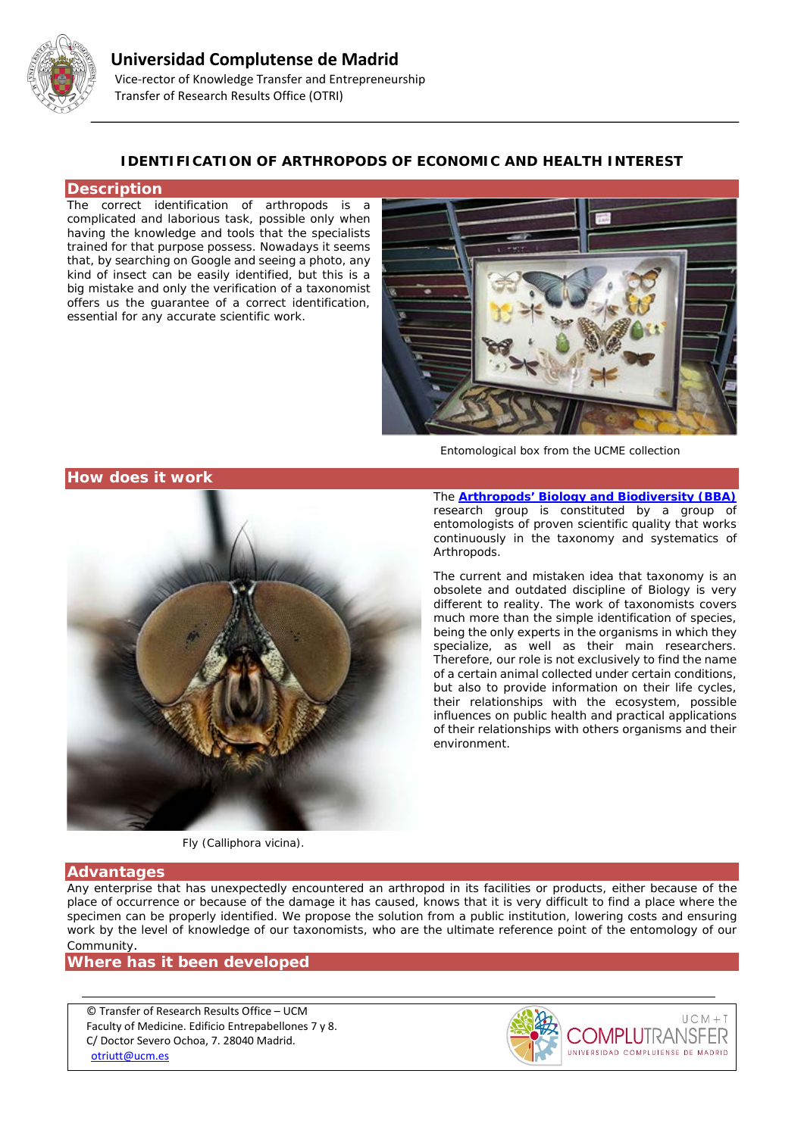

## **IDENTIFICATION OF ARTHROPODS OF ECONOMIC AND HEALTH INTEREST**

#### **Description**

The correct identification of arthropods is a complicated and laborious task, possible only when having the knowledge and tools that the specialists trained for that purpose possess. Nowadays it seems that, by searching on Google and seeing a photo, any kind of insect can be easily identified, but this is a big mistake and only the verification of a taxonomist offers us the guarantee of a correct identification, essential for any accurate scientific work.



*Entomological box from the UCME collection*

**How does it work**



The **[Arthropods' Biology and Biodiversity \(BBA\)](http://bba.bioucm.es/)** research group is constituted by a group of entomologists of proven scientific quality that works continuously in the taxonomy and systematics of Arthropods.

The current and mistaken idea that taxonomy is an obsolete and outdated discipline of Biology is very different to reality. The work of taxonomists covers much more than the simple identification of species, being the only experts in the organisms in which they specialize, as well as their main researchers. Therefore, our role is not exclusively to find the name of a certain animal collected under certain conditions, but also to provide information on their life cycles, their relationships with the ecosystem, possible influences on public health and practical applications of their relationships with others organisms and their environment.

*Fly (Calliphora vicina).*

#### **Advantages**

Any enterprise that has unexpectedly encountered an arthropod in its facilities or products, either because of the place of occurrence or because of the damage it has caused, knows that it is very difficult to find a place where the specimen can be properly identified. We propose the solution from a public institution, lowering costs and ensuring work by the level of knowledge of our taxonomists, who are the ultimate reference point of the entomology of our Community.

### **Where has it been developed**

© Transfer of Research Results Office – UCM Faculty of Medicine. Edificio Entrepabellones 7 y 8. C/ Doctor Severo Ochoa, 7. 28040 Madrid. [otriutt@ucm.es](mailto:otriutt@ucm.es;paddy@bio.ucm.es;edruiz@ucm.es?subject=IDENTIFICATION%20OF%20ARTHROPODS%20OF%20ECONOMIC%20AND%20HEALTH%20INTEREST)